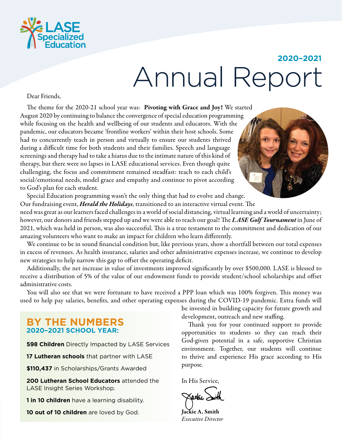

# **2020–2021 Annual Repor**

Dear Friends,

The theme for the 2020-21 school year was: Pivoting with Grace and Joy! We started August 2020 by continuing to balance the convergence of special education programming while focusing on the health and wellbeing of our students and educators. With the pandemic, our educators became 'frontline workers' within their host schools. Some had to concurrently teach in person and virtually to ensure our students thrived during a difficult time for both students and their families. Speech and language screenings and therapy had to take a hiatus due to the intimate nature of this kind of therapy, but there were no lapses in LASE educational services. Even though quite challenging, the focus and commitment remained steadfast: teach to each child's social/emotional needs, model grace and empathy and continue to pivot according to God's plan for each student.

Special Education programming wasn't the only thing that had to evolve and change. Our fundraising event, *Herald the Holidays*, transitioned to an interactive virtual event. The

need was great as our learners faced challenges in a world of social distancing, virtual learning and a world of uncertainty; however, our donors and friends stepped up and we were able to reach our goal! The *LASE Golf Tournament* in June of 2021, which was held in person, was also successful. This is a true testament to the commitment and dedication of our amazing volunteers who want to make an impact for children who learn differently.

We continue to be in sound financial condition but, like previous years, show a shortfall between our total expenses in excess of revenues. As health insurance, salaries and other administrative expenses increase, we continue to develop new strategies to help narrow this gap to offset the operating deficit.

Additionally, the net increase in value of investments improved significantly by over \$500,000. LASE is blessed to receive a distribution of 5% of the value of our endowment funds to provide student/school scholarships and offset administrative costs.

You will also see that we were fortunate to have received a PPP loan which was 100% forgiven. This money was used to help pay salaries, benefits, and other operating expenses during the COVID-19 pandemic. Extra funds will

### **BY THE NUMBERS 2020–2021 SCHOOL YEAR:**

**598 Children** Directly Impacted by LASE Services

17 **Lutheran schools** that partner with LASE

**\$110,437** in Scholarships/Grants Awarded

**200 Lutheran School Educators** attended the LASE Insight Series Workshop.

**1 in 10 children** have a learning disability.

**10 out of 10 children** are loved by God.

be invested in building capacity for future growth and development, outreach and new staffing.

Thank you for your continued support to provide opportunities to students so they can reach their God-given potential in a safe, supportive Christian environment. Together, our students will continue to thrive and experience His grace according to His purpose.

In His Service,

Jackie A. Smith *Executive Director*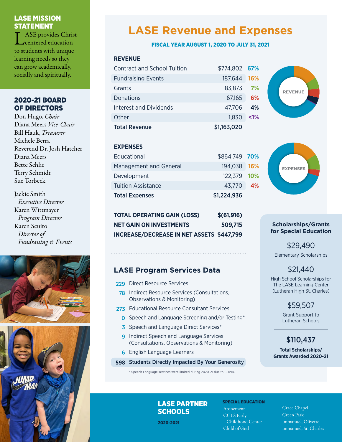### LASE MISSION STATEMENT

ASE provides Christcentered education to students with unique learning needs so they can grow academically, socially and spiritually.

### 2020-21 BOARD OF DIRECTORS

Don Hugo, *Chair* Diana Meers *Vice-Chair* Bill Hauk, *Treasurer* Michele Berra Reverend Dr. Josh Hatcher Diana Meers Bette Schlie Terry Schmidt Sue Torbeck

Jackie Smith  *Executive Director* Karen Wittmayer  *Program Director* Karen Scuito  *Director of Fundraising & Events*





# **LASE Revenue and Expenses**

### FISCAL YEAR AUGUST 1, 2020 TO JULY 31, 2021

### **REVENUE**

| Contract and School Tuition | \$774,802 67% |            |
|-----------------------------|---------------|------------|
| <b>Fundraising Events</b>   | 187,644       | <b>16%</b> |
| Grants                      | 83,873        | 7%         |
| Donations                   | 67,165        | 6%         |
| Interest and Dividends      | 47,706        | 4%         |
| Other                       | 1.830         | $< 1\%$    |
| <b>Total Revenue</b>        | \$1,163,020   |            |

### **EXPENSES**

| Educational               | \$864,749 70% |  |
|---------------------------|---------------|--|
| Management and General    | 194,038 16%   |  |
| Development               | 122,379 10%   |  |
| <b>Tuition Assistance</b> | 43,770 4%     |  |
| <b>Total Expenses</b>     | \$1,224,936   |  |

| <b>TOTAL OPERATING GAIN (LOSS)</b>               | \$ (61, 916) |
|--------------------------------------------------|--------------|
| <b>NET GAIN ON INVESTMENTS</b>                   | 509.715      |
| <b>INCREASE/DECREASE IN NET ASSETS \$447,799</b> |              |

### **LASE Program Services Data**

- 229 Direct Resource Services
- 78 Indirect Resource Services (Consultations, Observations & Monitoring)
- 273 Educational Resource Consultant Services
	- **O** Speech and Language Screening and/or Testing\*
	- 3 Speech and Language Direct Services\*
	- **9** Indirect Speech and Language Services (Consultations, Observations & Monitoring)
	- 6 English Language Learners
- 598 Students Directly Impacted By Your Generosity

\* Speech Language services were limited during 2020-21 due to COVID.

LASE PARTNER

**SCHOOLS** 

2020-2021

SPECIAL EDUCATION Atonement CCLS Early Childhood Center Child of God

Grace Chapel Green Park Immanuel, Olivette Immanuel, St. Charles

**REVENUE** 



### **Scholarships/Grants for Special Education**

\$29,490 Elementary Scholarships

### \$21,440

High School Scholarships for The LASE Learning Center (Lutheran High St. Charles)

### \$59,507

Grant Support to Lutheran Schools

### \$110,437

**Total Scholarships/ Grants Awarded 2020-21**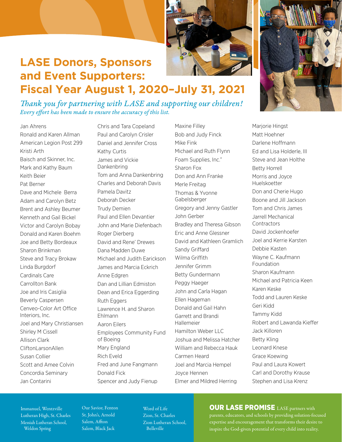

# **LASE Donors, Sponsors and Event Supporters: Fiscal Year August 1, 2020–July 31, 2021**

*Thank you for partnering with LASE and supporting our children! Every effort has been made to ensure the accuracy of this list.*

Jan Ahrens Ronald and Karen Allman American Legion Post 299 Kristi Arth Baisch and Skinner, Inc. Mark and Kathy Baum Keith Beier Pat Berner Dave and Michele Berra Adam and Carolyn Betz Brent and Ashley Beumer Kenneth and Gail Bickel Victor and Carolyn Bobay Donald and Karen Boehm Joe and Betty Bordeaux Sharon Brinkman Steve and Tracy Brokaw Linda Burgdorf Cardinals Care Carrollton Bank Joe and Iris Casiglia Beverly Caspersen Cenveo-Color Art Office Interiors, Inc. Joel and Mary Christiansen Shirley M Cissell Allison Clark CliftonLarsonAllen Susan Collier Scott and Amee Colvin Concordia Seminary Jan Contarini

Chris and Tara Copeland Paul and Carolyn Crisler Daniel and Jennifer Cross Kathy Curtis James and Vickie Dankenbring Tom and Anna Dankenbring Charles and Deborah Davis Pamela Davitz Deborah Decker Trudy Demien Paul and Ellen Devantier John and Marie Diefenbach Roger Dierberg David and Rene' Drewes Dana Madden Duwe Michael and Judith Earickson James and Marcia Eckrich Anne Edgren Dan and Lillian Edmiston Dean and Erica Eggerding Ruth Eggers Lawrence H. and Sharon Ehlmann Aaron Eilers Employees Community Fund of Boeing Mary England Rich Eveld Fred and June Fangmann Donald Fick Spencer and Judy Fienup

Maxine Filley Bob and Judy Finck Mike Fink Michael and Ruth Flynn Foam Supplies, Inc." Sharon Fox Don and Ann Franke Merle Freitag Thomas & Yvonne Gabelsberger Gregory and Jenny Gastler John Gerber Bradley and Theresa Gibson Eric and Anne Glessner David and Kathleen Gramlich Sandy Griffard Wilma Griffith Jennifer Grimm Betty Gundermann Peggy Haeger John and Carla Hagan Ellen Hageman Donald and Gail Hahn Garrett and Brandi Hallemeier Hamilton Weber LLC Joshua and Melissa Hatcher William and Rebecca Hauk Carmen Heard Joel and Marcia Hempel Joyce Hennen Elmer and Mildred Herring



Marjorie Hingst Matt Hoehner Darlene Hoffmann Ed and Lisa Holderle, III Steve and Jean Holthe Betty Horrell Morris and Joyce Huelskoetter Don and Cherie Hugo Boone and Jill Jackson Tom and Chris James Jarrell Mechanical **Contractors** David Jockenhoefer Joel and Kerrie Karsten Debbie Kasten Wayne C. Kaufmann Foundation Sharon Kaufmann Michael and Patricia Keen Karen Keske Todd and Lauren Keske Geri Kidd Tammy Kidd Robert and Lawanda Kieffer Jack Killoren Betty Kling Leonard Knese Grace Koewing Paul and Laura Kowert Carl and Dorothy Krause Stephen and Lisa Krenz

Immanuel, Wentzville Lutheran High, St. Charles Messiah Lutheran School, Weldon Spring

Our Savior, Fenton St. John's, Arnold Salem, Affton Salem, Black Jack

Word of Life Zion, St. Charles Zion Lutheran School, Belleville

### **OUR LASE PROMISE** LASE partners with

parents, educators, and schools by providing solution-focused expertise and encouragement that transforms their desire to inspire the God-given potential of every child into reality.